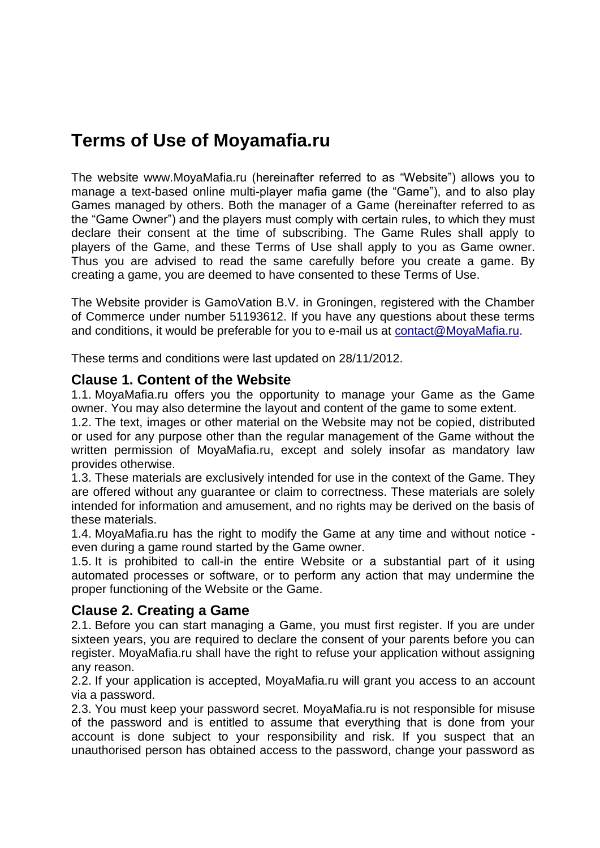# **Terms of Use of Moyamafia.ru**

The website www.MoyaMafia.ru (hereinafter referred to as "Website") allows you to manage a text-based online multi-player mafia game (the "Game"), and to also play Games managed by others. Both the manager of a Game (hereinafter referred to as the "Game Owner") and the players must comply with certain rules, to which they must declare their consent at the time of subscribing. The Game Rules shall apply to players of the Game, and these Terms of Use shall apply to you as Game owner. Thus you are advised to read the same carefully before you create a game. By creating a game, you are deemed to have consented to these Terms of Use.

The Website provider is GamoVation B.V. in Groningen, registered with the Chamber of Commerce under number 51193612. If you have any questions about these terms and conditions, it would be preferable for you to e-mail us at [contact@MoyaMafia.ru.](mailto:contact@MafiaCreator.com)

These terms and conditions were last updated on 28/11/2012.

#### **Clause 1. Content of the Website**

1.1. MoyaMafia.ru offers you the opportunity to manage your Game as the Game owner. You may also determine the layout and content of the game to some extent.

1.2. The text, images or other material on the Website may not be copied, distributed or used for any purpose other than the regular management of the Game without the written permission of MoyaMafia.ru, except and solely insofar as mandatory law provides otherwise.

1.3. These materials are exclusively intended for use in the context of the Game. They are offered without any guarantee or claim to correctness. These materials are solely intended for information and amusement, and no rights may be derived on the basis of these materials.

1.4. MoyaMafia.ru has the right to modify the Game at any time and without notice even during a game round started by the Game owner.

1.5. It is prohibited to call-in the entire Website or a substantial part of it using automated processes or software, or to perform any action that may undermine the proper functioning of the Website or the Game.

## **Clause 2. Creating a Game**

2.1. Before you can start managing a Game, you must first register. If you are under sixteen years, you are required to declare the consent of your parents before you can register. MoyaMafia.ru shall have the right to refuse your application without assigning any reason.

2.2. If your application is accepted, MoyaMafia.ru will grant you access to an account via a password.

2.3. You must keep your password secret. MoyaMafia.ru is not responsible for misuse of the password and is entitled to assume that everything that is done from your account is done subject to your responsibility and risk. If you suspect that an unauthorised person has obtained access to the password, change your password as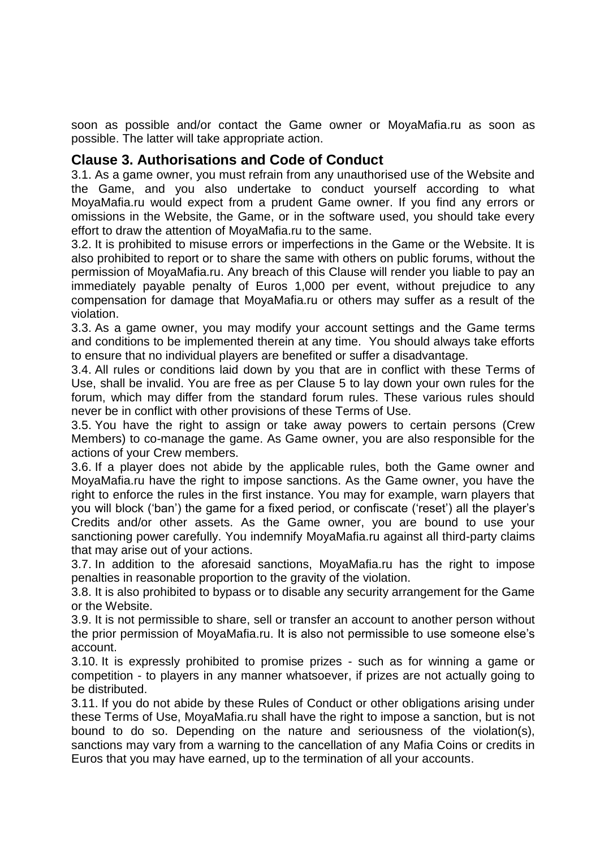soon as possible and/or contact the Game owner or MoyaMafia.ru as soon as possible. The latter will take appropriate action.

#### **Clause 3. Authorisations and Code of Conduct**

3.1. As a game owner, you must refrain from any unauthorised use of the Website and the Game, and you also undertake to conduct yourself according to what MoyaMafia.ru would expect from a prudent Game owner. If you find any errors or omissions in the Website, the Game, or in the software used, you should take every effort to draw the attention of MoyaMafia.ru to the same.

3.2. It is prohibited to misuse errors or imperfections in the Game or the Website. It is also prohibited to report or to share the same with others on public forums, without the permission of MoyaMafia.ru. Any breach of this Clause will render you liable to pay an immediately payable penalty of Euros 1,000 per event, without prejudice to any compensation for damage that MoyaMafia.ru or others may suffer as a result of the violation.

3.3. As a game owner, you may modify your account settings and the Game terms and conditions to be implemented therein at any time. You should always take efforts to ensure that no individual players are benefited or suffer a disadvantage.

3.4. All rules or conditions laid down by you that are in conflict with these Terms of Use, shall be invalid. You are free as per Clause 5 to lay down your own rules for the forum, which may differ from the standard forum rules. These various rules should never be in conflict with other provisions of these Terms of Use.

3.5. You have the right to assign or take away powers to certain persons (Crew Members) to co-manage the game. As Game owner, you are also responsible for the actions of your Crew members.

3.6. If a player does not abide by the applicable rules, both the Game owner and MoyaMafia.ru have the right to impose sanctions. As the Game owner, you have the right to enforce the rules in the first instance. You may for example, warn players that you will block ('ban') the game for a fixed period, or confiscate ('reset') all the player's Credits and/or other assets. As the Game owner, you are bound to use your sanctioning power carefully. You indemnify MoyaMafia.ru against all third-party claims that may arise out of your actions.

3.7. In addition to the aforesaid sanctions, MoyaMafia.ru has the right to impose penalties in reasonable proportion to the gravity of the violation.

3.8. It is also prohibited to bypass or to disable any security arrangement for the Game or the Website.

3.9. It is not permissible to share, sell or transfer an account to another person without the prior permission of MoyaMafia.ru. It is also not permissible to use someone else's account.

3.10. It is expressly prohibited to promise prizes - such as for winning a game or competition - to players in any manner whatsoever, if prizes are not actually going to be distributed.

3.11. If you do not abide by these Rules of Conduct or other obligations arising under these Terms of Use, MoyaMafia.ru shall have the right to impose a sanction, but is not bound to do so. Depending on the nature and seriousness of the violation(s), sanctions may vary from a warning to the cancellation of any Mafia Coins or credits in Euros that you may have earned, up to the termination of all your accounts.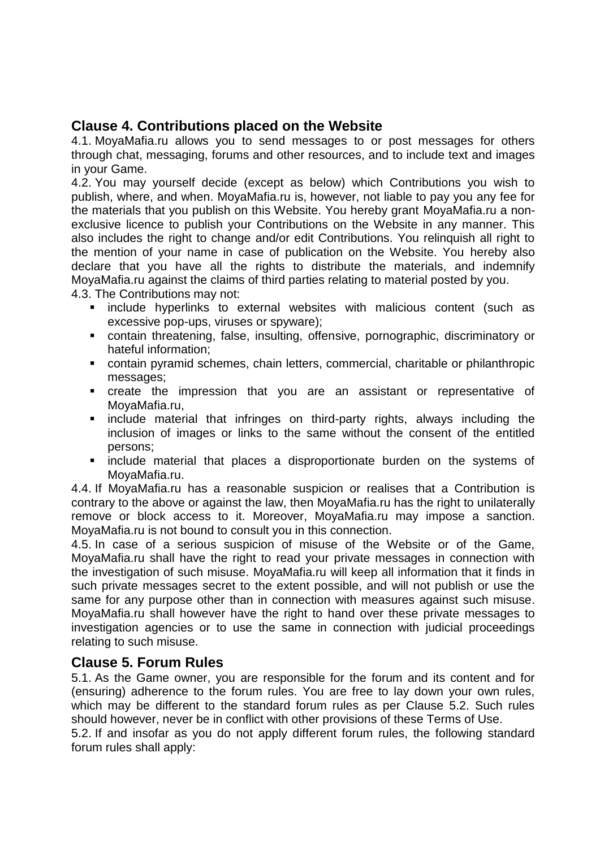## **Clause 4. Contributions placed on the Website**

4.1. MoyaMafia.ru allows you to send messages to or post messages for others through chat, messaging, forums and other resources, and to include text and images in your Game.

4.2. You may yourself decide (except as below) which Contributions you wish to publish, where, and when. MoyaMafia.ru is, however, not liable to pay you any fee for the materials that you publish on this Website. You hereby grant MoyaMafia.ru a nonexclusive licence to publish your Contributions on the Website in any manner. This also includes the right to change and/or edit Contributions. You relinquish all right to the mention of your name in case of publication on the Website. You hereby also declare that you have all the rights to distribute the materials, and indemnify MoyaMafia.ru against the claims of third parties relating to material posted by you.

4.3. The Contributions may not:

- **E** include hyperlinks to external websites with malicious content (such as excessive pop-ups, viruses or spyware);
- contain threatening, false, insulting, offensive, pornographic, discriminatory or hateful information;
- contain pyramid schemes, chain letters, commercial, charitable or philanthropic messages;
- create the impression that you are an assistant or representative of MoyaMafia.ru,
- **Example material that infringes on third-party rights, always including the** inclusion of images or links to the same without the consent of the entitled persons;
- **Example material that places a disproportionate burden on the systems of** MoyaMafia.ru.

4.4. If MoyaMafia.ru has a reasonable suspicion or realises that a Contribution is contrary to the above or against the law, then MoyaMafia.ru has the right to unilaterally remove or block access to it. Moreover, MoyaMafia.ru may impose a sanction. MoyaMafia.ru is not bound to consult you in this connection.

4.5. In case of a serious suspicion of misuse of the Website or of the Game, MoyaMafia.ru shall have the right to read your private messages in connection with the investigation of such misuse. MoyaMafia.ru will keep all information that it finds in such private messages secret to the extent possible, and will not publish or use the same for any purpose other than in connection with measures against such misuse. MoyaMafia.ru shall however have the right to hand over these private messages to investigation agencies or to use the same in connection with judicial proceedings relating to such misuse.

## **Clause 5. Forum Rules**

5.1. As the Game owner, you are responsible for the forum and its content and for (ensuring) adherence to the forum rules. You are free to lay down your own rules, which may be different to the standard forum rules as per Clause 5.2. Such rules should however, never be in conflict with other provisions of these Terms of Use. 5.2. If and insofar as you do not apply different forum rules, the following standard forum rules shall apply: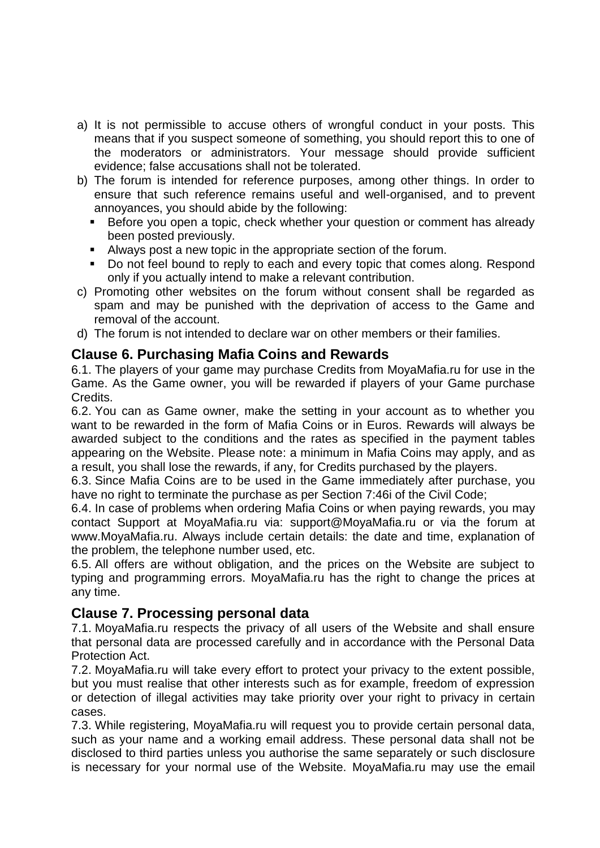- a) It is not permissible to accuse others of wrongful conduct in your posts. This means that if you suspect someone of something, you should report this to one of the moderators or administrators. Your message should provide sufficient evidence; false accusations shall not be tolerated.
- b) The forum is intended for reference purposes, among other things. In order to ensure that such reference remains useful and well-organised, and to prevent annoyances, you should abide by the following:
	- **Before you open a topic, check whether your question or comment has already** been posted previously.
	- Always post a new topic in the appropriate section of the forum.
	- Do not feel bound to reply to each and every topic that comes along. Respond only if you actually intend to make a relevant contribution.
- c) Promoting other websites on the forum without consent shall be regarded as spam and may be punished with the deprivation of access to the Game and removal of the account.
- d) The forum is not intended to declare war on other members or their families.

## **Clause 6. Purchasing Mafia Coins and Rewards**

6.1. The players of your game may purchase Credits from MoyaMafia.ru for use in the Game. As the Game owner, you will be rewarded if players of your Game purchase Credits.

6.2. You can as Game owner, make the setting in your account as to whether you want to be rewarded in the form of Mafia Coins or in Euros. Rewards will always be awarded subject to the conditions and the rates as specified in the payment tables appearing on the Website. Please note: a minimum in Mafia Coins may apply, and as a result, you shall lose the rewards, if any, for Credits purchased by the players.

6.3. Since Mafia Coins are to be used in the Game immediately after purchase, you have no right to terminate the purchase as per Section 7:46i of the Civil Code;

6.4. In case of problems when ordering Mafia Coins or when paying rewards, you may contact Support at MoyaMafia.ru via: support@MoyaMafia.ru or via the forum at www.MoyaMafia.ru. Always include certain details: the date and time, explanation of the problem, the telephone number used, etc.

6.5. All offers are without obligation, and the prices on the Website are subject to typing and programming errors. MoyaMafia.ru has the right to change the prices at any time.

## **Clause 7. Processing personal data**

7.1. MoyaMafia.ru respects the privacy of all users of the Website and shall ensure that personal data are processed carefully and in accordance with the Personal Data Protection Act.

7.2. MoyaMafia.ru will take every effort to protect your privacy to the extent possible, but you must realise that other interests such as for example, freedom of expression or detection of illegal activities may take priority over your right to privacy in certain cases.

7.3. While registering, MoyaMafia.ru will request you to provide certain personal data, such as your name and a working email address. These personal data shall not be disclosed to third parties unless you authorise the same separately or such disclosure is necessary for your normal use of the Website. MoyaMafia.ru may use the email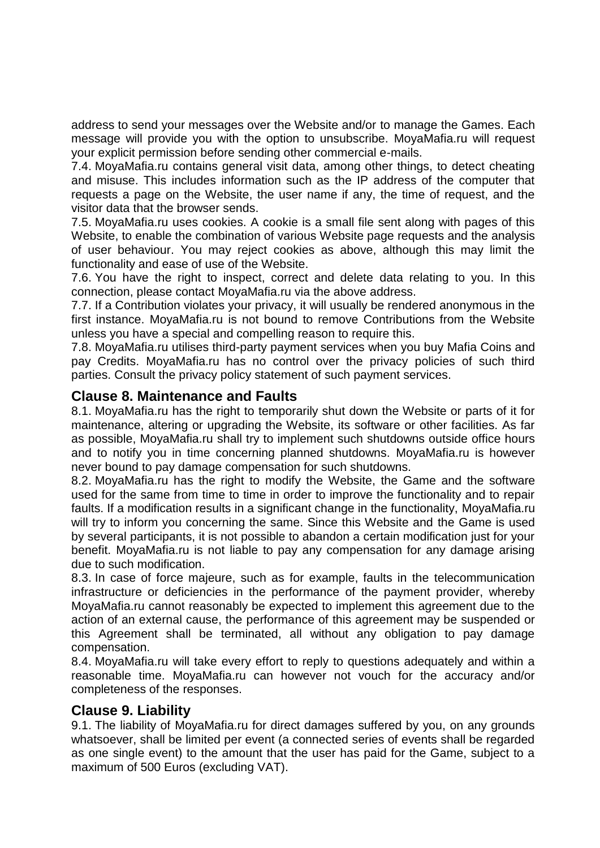address to send your messages over the Website and/or to manage the Games. Each message will provide you with the option to unsubscribe. MoyaMafia.ru will request your explicit permission before sending other commercial e-mails.

7.4. MoyaMafia.ru contains general visit data, among other things, to detect cheating and misuse. This includes information such as the IP address of the computer that requests a page on the Website, the user name if any, the time of request, and the visitor data that the browser sends.

7.5. MoyaMafia.ru uses cookies. A cookie is a small file sent along with pages of this Website, to enable the combination of various Website page requests and the analysis of user behaviour. You may reject cookies as above, although this may limit the functionality and ease of use of the Website.

7.6. You have the right to inspect, correct and delete data relating to you. In this connection, please contact MoyaMafia.ru via the above address.

7.7. If a Contribution violates your privacy, it will usually be rendered anonymous in the first instance. MoyaMafia.ru is not bound to remove Contributions from the Website unless you have a special and compelling reason to require this.

7.8. MoyaMafia.ru utilises third-party payment services when you buy Mafia Coins and pay Credits. MoyaMafia.ru has no control over the privacy policies of such third parties. Consult the privacy policy statement of such payment services.

#### **Clause 8. Maintenance and Faults**

8.1. MoyaMafia.ru has the right to temporarily shut down the Website or parts of it for maintenance, altering or upgrading the Website, its software or other facilities. As far as possible, MoyaMafia.ru shall try to implement such shutdowns outside office hours and to notify you in time concerning planned shutdowns. MoyaMafia.ru is however never bound to pay damage compensation for such shutdowns.

8.2. MoyaMafia.ru has the right to modify the Website, the Game and the software used for the same from time to time in order to improve the functionality and to repair faults. If a modification results in a significant change in the functionality, MoyaMafia.ru will try to inform you concerning the same. Since this Website and the Game is used by several participants, it is not possible to abandon a certain modification just for your benefit. MoyaMafia.ru is not liable to pay any compensation for any damage arising due to such modification.

8.3. In case of force majeure, such as for example, faults in the telecommunication infrastructure or deficiencies in the performance of the payment provider, whereby MoyaMafia.ru cannot reasonably be expected to implement this agreement due to the action of an external cause, the performance of this agreement may be suspended or this Agreement shall be terminated, all without any obligation to pay damage compensation.

8.4. MoyaMafia.ru will take every effort to reply to questions adequately and within a reasonable time. MoyaMafia.ru can however not vouch for the accuracy and/or completeness of the responses.

#### **Clause 9. Liability**

9.1. The liability of MoyaMafia.ru for direct damages suffered by you, on any grounds whatsoever, shall be limited per event (a connected series of events shall be regarded as one single event) to the amount that the user has paid for the Game, subject to a maximum of 500 Euros (excluding VAT).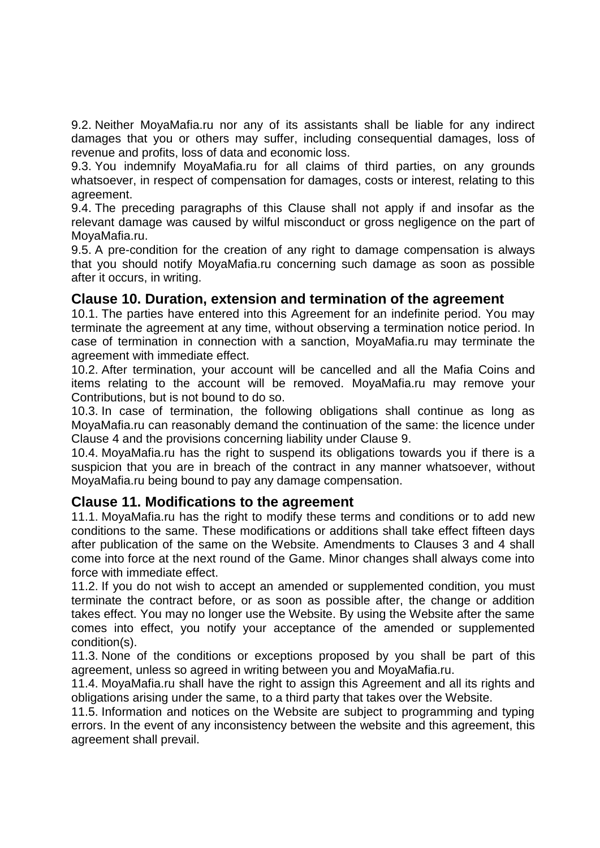9.2. Neither MoyaMafia.ru nor any of its assistants shall be liable for any indirect damages that you or others may suffer, including consequential damages, loss of revenue and profits, loss of data and economic loss.

9.3. You indemnify MoyaMafia.ru for all claims of third parties, on any grounds whatsoever, in respect of compensation for damages, costs or interest, relating to this agreement.

9.4. The preceding paragraphs of this Clause shall not apply if and insofar as the relevant damage was caused by wilful misconduct or gross negligence on the part of MoyaMafia.ru.

9.5. A pre-condition for the creation of any right to damage compensation is always that you should notify MoyaMafia.ru concerning such damage as soon as possible after it occurs, in writing.

#### **Clause 10. Duration, extension and termination of the agreement**

10.1. The parties have entered into this Agreement for an indefinite period. You may terminate the agreement at any time, without observing a termination notice period. In case of termination in connection with a sanction, MoyaMafia.ru may terminate the agreement with immediate effect.

10.2. After termination, your account will be cancelled and all the Mafia Coins and items relating to the account will be removed. MoyaMafia.ru may remove your Contributions, but is not bound to do so.

10.3. In case of termination, the following obligations shall continue as long as MoyaMafia.ru can reasonably demand the continuation of the same: the licence under Clause 4 and the provisions concerning liability under Clause 9.

10.4. MoyaMafia.ru has the right to suspend its obligations towards you if there is a suspicion that you are in breach of the contract in any manner whatsoever, without MoyaMafia.ru being bound to pay any damage compensation.

#### **Clause 11. Modifications to the agreement**

11.1. MoyaMafia.ru has the right to modify these terms and conditions or to add new conditions to the same. These modifications or additions shall take effect fifteen days after publication of the same on the Website. Amendments to Clauses 3 and 4 shall come into force at the next round of the Game. Minor changes shall always come into force with immediate effect.

11.2. If you do not wish to accept an amended or supplemented condition, you must terminate the contract before, or as soon as possible after, the change or addition takes effect. You may no longer use the Website. By using the Website after the same comes into effect, you notify your acceptance of the amended or supplemented condition(s).

11.3. None of the conditions or exceptions proposed by you shall be part of this agreement, unless so agreed in writing between you and MoyaMafia.ru.

11.4. MoyaMafia.ru shall have the right to assign this Agreement and all its rights and obligations arising under the same, to a third party that takes over the Website.

11.5. Information and notices on the Website are subject to programming and typing errors. In the event of any inconsistency between the website and this agreement, this agreement shall prevail.